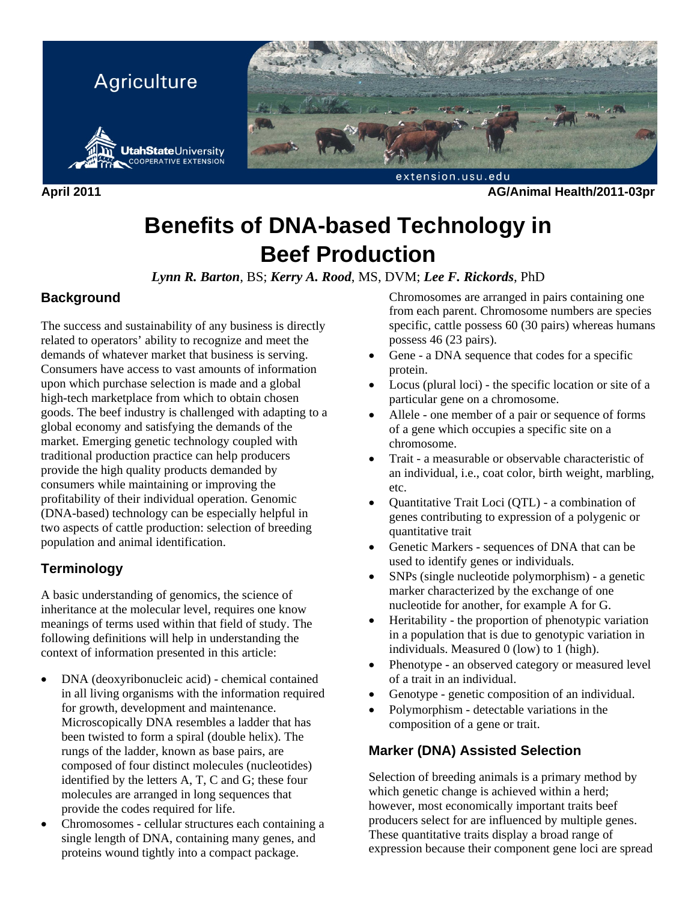

**April 2011 AG/Animal Health/2011-03pr** 

# **Benefits of DNA-based Technology in Beef Production**

*Lynn R. Barton*, BS; *Kerry A. Rood*, MS, DVM; *Lee F. Rickords*, PhD

## **Background**

The success and sustainability of any business is directly related to operators' ability to recognize and meet the demands of whatever market that business is serving. Consumers have access to vast amounts of information upon which purchase selection is made and a global high-tech marketplace from which to obtain chosen goods. The beef industry is challenged with adapting to a global economy and satisfying the demands of the market. Emerging genetic technology coupled with traditional production practice can help producers provide the high quality products demanded by consumers while maintaining or improving the profitability of their individual operation. Genomic (DNA-based) technology can be especially helpful in two aspects of cattle production: selection of breeding population and animal identification.

# **Terminology**

A basic understanding of genomics, the science of inheritance at the molecular level, requires one know meanings of terms used within that field of study. The following definitions will help in understanding the context of information presented in this article:

- DNA (deoxyribonucleic acid) chemical contained in all living organisms with the information required for growth, development and maintenance. Microscopically DNA resembles a ladder that has been twisted to form a spiral (double helix). The rungs of the ladder, known as base pairs, are composed of four distinct molecules (nucleotides) identified by the letters A, T, C and G; these four molecules are arranged in long sequences that provide the codes required for life.
- Chromosomes cellular structures each containing a single length of DNA, containing many genes, and proteins wound tightly into a compact package.

Chromosomes are arranged in pairs containing one from each parent. Chromosome numbers are species specific, cattle possess 60 (30 pairs) whereas humans possess 46 (23 pairs).

- Gene a DNA sequence that codes for a specific protein.
- Locus (plural loci) the specific location or site of a particular gene on a chromosome.
- Allele one member of a pair or sequence of forms of a gene which occupies a specific site on a chromosome.
- Trait a measurable or observable characteristic of an individual, i.e., coat color, birth weight, marbling, etc.
- Quantitative Trait Loci (QTL) a combination of genes contributing to expression of a polygenic or quantitative trait
- Genetic Markers sequences of DNA that can be used to identify genes or individuals.
- SNPs (single nucleotide polymorphism) a genetic marker characterized by the exchange of one nucleotide for another, for example A for G.
- Heritability the proportion of phenotypic variation in a population that is due to genotypic variation in individuals. Measured 0 (low) to 1 (high).
- Phenotype an observed category or measured level of a trait in an individual.
- Genotype genetic composition of an individual.
- Polymorphism detectable variations in the composition of a gene or trait.

# **Marker (DNA) Assisted Selection**

Selection of breeding animals is a primary method by which genetic change is achieved within a herd; however, most economically important traits beef producers select for are influenced by multiple genes. These quantitative traits display a broad range of expression because their component gene loci are spread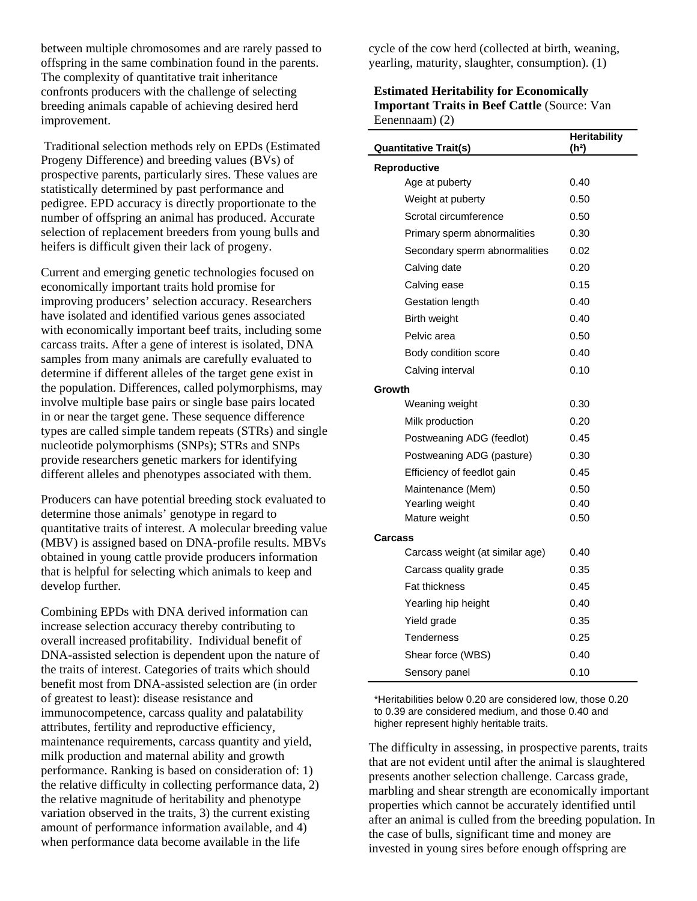between multiple chromosomes and are rarely passed to offspring in the same combination found in the parents. The complexity of quantitative trait inheritance confronts producers with the challenge of selecting breeding animals capable of achieving desired herd improvement.

 Traditional selection methods rely on EPDs (Estimated Progeny Difference) and breeding values (BVs) of prospective parents, particularly sires. These values are statistically determined by past performance and pedigree. EPD accuracy is directly proportionate to the number of offspring an animal has produced. Accurate selection of replacement breeders from young bulls and heifers is difficult given their lack of progeny.

Current and emerging genetic technologies focused on economically important traits hold promise for improving producers' selection accuracy. Researchers have isolated and identified various genes associated with economically important beef traits, including some carcass traits. After a gene of interest is isolated, DNA samples from many animals are carefully evaluated to determine if different alleles of the target gene exist in the population. Differences, called polymorphisms, may involve multiple base pairs or single base pairs located in or near the target gene. These sequence difference types are called simple tandem repeats (STRs) and single nucleotide polymorphisms (SNPs); STRs and SNPs provide researchers genetic markers for identifying different alleles and phenotypes associated with them.

Producers can have potential breeding stock evaluated to determine those animals' genotype in regard to quantitative traits of interest. A molecular breeding value (MBV) is assigned based on DNA-profile results. MBVs obtained in young cattle provide producers information that is helpful for selecting which animals to keep and develop further.

Combining EPDs with DNA derived information can increase selection accuracy thereby contributing to overall increased profitability. Individual benefit of DNA-assisted selection is dependent upon the nature of the traits of interest. Categories of traits which should benefit most from DNA-assisted selection are (in order of greatest to least): disease resistance and immunocompetence, carcass quality and palatability attributes, fertility and reproductive efficiency, maintenance requirements, carcass quantity and yield, milk production and maternal ability and growth performance. Ranking is based on consideration of: 1) the relative difficulty in collecting performance data, 2) the relative magnitude of heritability and phenotype variation observed in the traits, 3) the current existing amount of performance information available, and 4) when performance data become available in the life

cycle of the cow herd (collected at birth, weaning, yearling, maturity, slaughter, consumption). (1)

#### **Estimated Heritability for Economically Important Traits in Beef Cattle (Source: Van** Eenennaam) (2)

| <b>Quantitative Trait(s)</b>    | <b>Heritability</b><br>(h <sup>2</sup> ) |
|---------------------------------|------------------------------------------|
| Reproductive                    |                                          |
| Age at puberty                  | 0.40                                     |
| Weight at puberty               | 0.50                                     |
| Scrotal circumference           | 0.50                                     |
| Primary sperm abnormalities     | 0.30                                     |
| Secondary sperm abnormalities   | 0.02                                     |
| Calving date                    | 0.20                                     |
| Calving ease                    | 0.15                                     |
| Gestation length                | 0.40                                     |
| Birth weight                    | 0.40                                     |
| Pelvic area                     | 0.50                                     |
| Body condition score            | 0.40                                     |
| Calving interval                | 0.10                                     |
| Growth                          |                                          |
| Weaning weight                  | 0.30                                     |
| Milk production                 | 0.20                                     |
| Postweaning ADG (feedlot)       | 0.45                                     |
| Postweaning ADG (pasture)       | 0.30                                     |
| Efficiency of feedlot gain      | 0.45                                     |
| Maintenance (Mem)               | 0.50                                     |
| Yearling weight                 | 0.40                                     |
| Mature weight                   | 0.50                                     |
| Carcass                         |                                          |
| Carcass weight (at similar age) | 0.40                                     |
| Carcass quality grade           | 0.35                                     |
| <b>Fat thickness</b>            | 0.45                                     |
| Yearling hip height             | 0.40                                     |
| Yield grade                     | 0.35                                     |
| Tenderness                      | 0.25                                     |
| Shear force (WBS)               | 0.40                                     |
| Sensory panel                   | 0.10                                     |

\*Heritabilities below 0.20 are considered low, those 0.20 to 0.39 are considered medium, and those 0.40 and higher represent highly heritable traits.

The difficulty in assessing, in prospective parents, traits that are not evident until after the animal is slaughtered presents another selection challenge. Carcass grade, marbling and shear strength are economically important properties which cannot be accurately identified until after an animal is culled from the breeding population. In the case of bulls, significant time and money are invested in young sires before enough offspring are